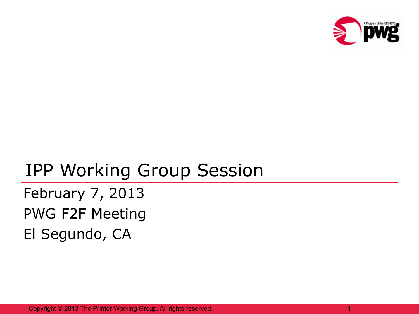

### IPP Working Group Session

February 7, 2013 PWG F2F Meeting El Segundo, CA

Copyright © 2013 The Printer Working Group. All rights reserved. 1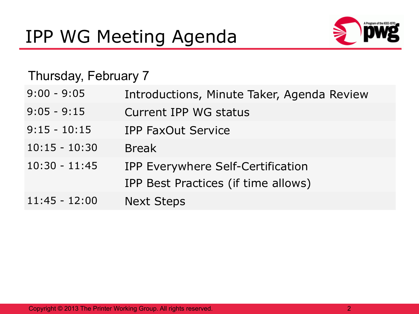

#### Thursday, February 7

| $9:00 - 9:05$   | Introductions, Minute Taker, Agenda Review |
|-----------------|--------------------------------------------|
| $9:05 - 9:15$   | Current IPP WG status                      |
| $9:15 - 10:15$  | <b>IPP FaxOut Service</b>                  |
| $10:15 - 10:30$ | <b>Break</b>                               |
| $10:30 - 11:45$ | IPP Everywhere Self-Certification          |
|                 | IPP Best Practices (if time allows)        |
| $11:45 - 12:00$ | <b>Next Steps</b>                          |
|                 |                                            |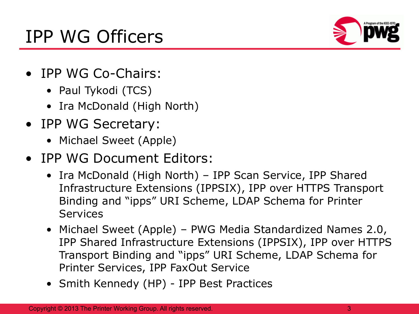## IPP WG Officers



- IPP WG Co-Chairs:
	- Paul Tykodi (TCS)
	- Ira McDonald (High North)
- IPP WG Secretary:
	- Michael Sweet (Apple)
- IPP WG Document Editors:
	- Ira McDonald (High North) IPP Scan Service, IPP Shared Infrastructure Extensions (IPPSIX), IPP over HTTPS Transport Binding and "ipps" URI Scheme, LDAP Schema for Printer **Services**
	- Michael Sweet (Apple) PWG Media Standardized Names 2.0, IPP Shared Infrastructure Extensions (IPPSIX), IPP over HTTPS Transport Binding and "ipps" URI Scheme, LDAP Schema for Printer Services, IPP FaxOut Service
	- Smith Kennedy (HP) IPP Best Practices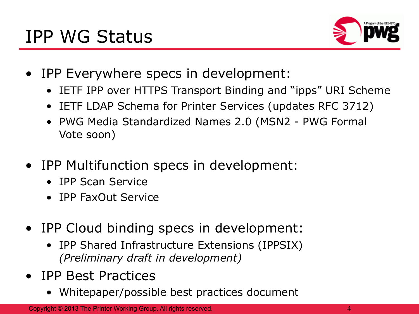

- IPP Everywhere specs in development:
	- IETF IPP over HTTPS Transport Binding and "ipps" URI Scheme
	- IETF LDAP Schema for Printer Services (updates RFC 3712)
	- PWG Media Standardized Names 2.0 (MSN2 PWG Formal Vote soon)
- IPP Multifunction specs in development:
	- IPP Scan Service
	- IPP FaxOut Service
- IPP Cloud binding specs in development:
	- IPP Shared Infrastructure Extensions (IPPSIX) *(Preliminary draft in development)*
- IPP Best Practices
	- Whitepaper/possible best practices document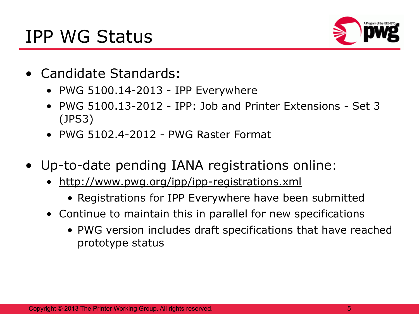## IPP WG Status



- Candidate Standards:
	- PWG 5100.14-2013 IPP Everywhere
	- PWG 5100.13-2012 IPP: Job and Printer Extensions Set 3 (JPS3)
	- PWG 5102.4-2012 PWG Raster Format
- Up-to-date pending IANA registrations online:
	- <http://www.pwg.org/ipp/ipp-registrations.xml>
		- Registrations for IPP Everywhere have been submitted
	- Continue to maintain this in parallel for new specifications
		- PWG version includes draft specifications that have reached prototype status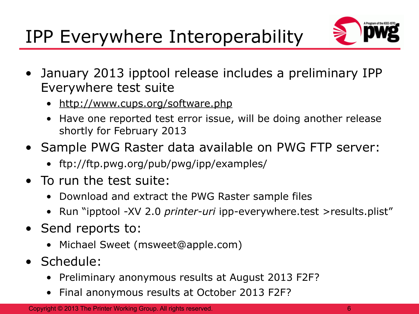# IPP Everywhere Interoperability



- January 2013 ipptool release includes a preliminary IPP Everywhere test suite
	- <http://www.cups.org/software.php>
	- Have one reported test error issue, will be doing another release shortly for February 2013
- Sample PWG Raster data available on PWG FTP server:
	- ftp://ftp.pwg.org/pub/pwg/ipp/examples/
- To run the test suite:
	- Download and extract the PWG Raster sample files
	- Run "ipptool -XV 2.0 *printer-uri* ipp-everywhere.test >results.plist"
- Send reports to:
	- Michael Sweet (msweet@apple.com)
- Schedule:
	- Preliminary anonymous results at August 2013 F2F?
	- Final anonymous results at October 2013 F2F?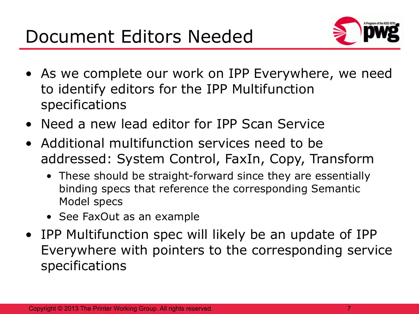

- As we complete our work on IPP Everywhere, we need to identify editors for the IPP Multifunction specifications
- Need a new lead editor for IPP Scan Service
- Additional multifunction services need to be addressed: System Control, FaxIn, Copy, Transform
	- These should be straight-forward since they are essentially binding specs that reference the corresponding Semantic Model specs
	- See FaxOut as an example
- IPP Multifunction spec will likely be an update of IPP Everywhere with pointers to the corresponding service specifications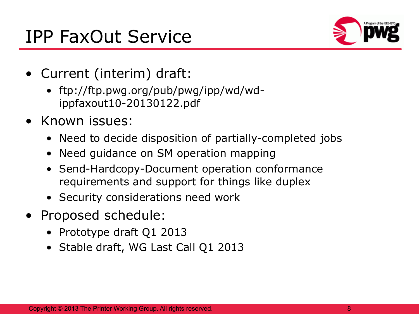## IPP FaxOut Service



- Current (interim) draft:
	- ftp://ftp.pwg.org/pub/pwg/ipp/wd/wdippfaxout10-20130122.pdf
- Known issues:
	- Need to decide disposition of partially-completed jobs
	- Need guidance on SM operation mapping
	- Send-Hardcopy-Document operation conformance requirements and support for things like duplex
	- Security considerations need work
- Proposed schedule:
	- Prototype draft Q1 2013
	- Stable draft, WG Last Call Q1 2013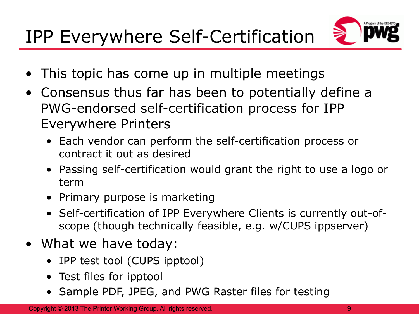

- This topic has come up in multiple meetings
- Consensus thus far has been to potentially define a PWG-endorsed self-certification process for IPP Everywhere Printers
	- Each vendor can perform the self-certification process or contract it out as desired
	- Passing self-certification would grant the right to use a logo or term
	- Primary purpose is marketing
	- Self-certification of IPP Everywhere Clients is currently out-ofscope (though technically feasible, e.g. w/CUPS ippserver)
- What we have today:
	- IPP test tool (CUPS ipptool)
	- Test files for ipptool
	- Sample PDF, JPEG, and PWG Raster files for testing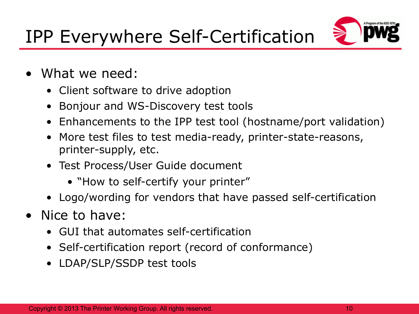

- What we need:
	- Client software to drive adoption
	- Bonjour and WS-Discovery test tools
	- Enhancements to the IPP test tool (hostname/port validation)
	- More test files to test media-ready, printer-state-reasons, printer-supply, etc.
	- Test Process/User Guide document
		- "How to self-certify your printer"
	- Logo/wording for vendors that have passed self-certification
- Nice to have:
	- GUI that automates self-certification
	- Self-certification report (record of conformance)
	- LDAP/SLP/SSDP test tools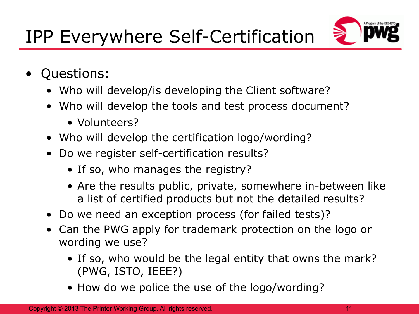

- Questions:
	- Who will develop/is developing the Client software?
	- Who will develop the tools and test process document?
		- Volunteers?
	- Who will develop the certification logo/wording?
	- Do we register self-certification results?
		- If so, who manages the registry?
		- Are the results public, private, somewhere in-between like a list of certified products but not the detailed results?
	- Do we need an exception process (for failed tests)?
	- Can the PWG apply for trademark protection on the logo or wording we use?
		- If so, who would be the legal entity that owns the mark? (PWG, ISTO, IEEE?)
		- How do we police the use of the logo/wording?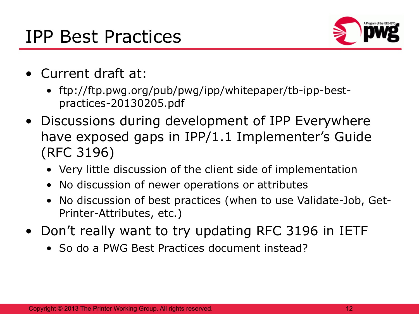#### IPP Best Practices



- Current draft at:
	- ftp://ftp.pwg.org/pub/pwg/ipp/whitepaper/tb-ipp-bestpractices-20130205.pdf
- Discussions during development of IPP Everywhere have exposed gaps in IPP/1.1 Implementer's Guide (RFC 3196)
	- Very little discussion of the client side of implementation
	- No discussion of newer operations or attributes
	- No discussion of best practices (when to use Validate-Job, Get-Printer-Attributes, etc.)
- Don't really want to try updating RFC 3196 in IETF
	- So do a PWG Best Practices document instead?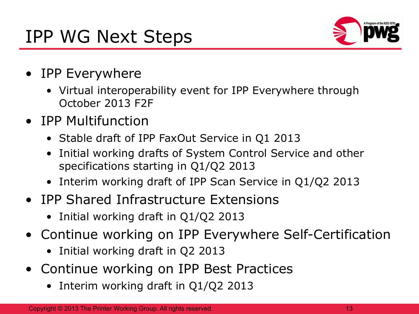## IPP WG Next Steps



- IPP Everywhere
	- Virtual interoperability event for IPP Everywhere through October 2013 F2F
- IPP Multifunction
	- Stable draft of IPP FaxOut Service in Q1 2013
	- Initial working drafts of System Control Service and other specifications starting in Q1/Q2 2013
	- Interim working draft of IPP Scan Service in Q1/Q2 2013
- IPP Shared Infrastructure Extensions
	- Initial working draft in Q1/Q2 2013
- Continue working on IPP Everywhere Self-Certification
	- Initial working draft in Q2 2013
- Continue working on IPP Best Practices
	- Interim working draft in Q1/Q2 2013